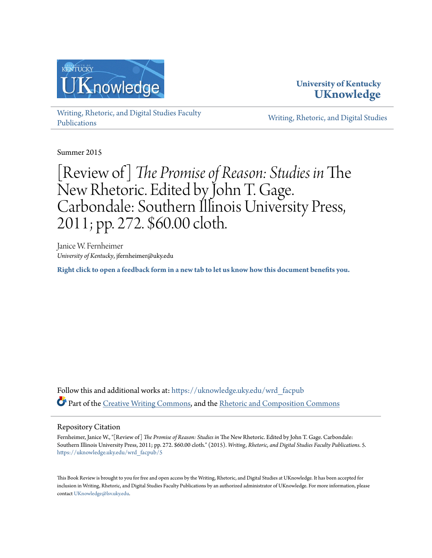

**University of Kentucky [UKnowledge](https://uknowledge.uky.edu?utm_source=uknowledge.uky.edu%2Fwrd_facpub%2F5&utm_medium=PDF&utm_campaign=PDFCoverPages)**

[Writing, Rhetoric, and Digital Studies Faculty](https://uknowledge.uky.edu/wrd_facpub?utm_source=uknowledge.uky.edu%2Fwrd_facpub%2F5&utm_medium=PDF&utm_campaign=PDFCoverPages) [Publications](https://uknowledge.uky.edu/wrd_facpub?utm_source=uknowledge.uky.edu%2Fwrd_facpub%2F5&utm_medium=PDF&utm_campaign=PDFCoverPages)

[Writing, Rhetoric, and Digital Studies](https://uknowledge.uky.edu/wrd?utm_source=uknowledge.uky.edu%2Fwrd_facpub%2F5&utm_medium=PDF&utm_campaign=PDFCoverPages)

Summer 2015

## [Review of] *The Promise of Reason: Studies in* The New Rhetoric. Edited by John T. Gage. Carbondale: Southern Illinois University Press, 2011; pp. 272. \$60.00 cloth.

Janice W. Fernheimer *University of Kentucky*, jfernheimer@uky.edu

**[Right click to open a feedback form in a new tab to let us know how this document benefits you.](https://uky.az1.qualtrics.com/jfe/form/SV_9mq8fx2GnONRfz7)**

Follow this and additional works at: [https://uknowledge.uky.edu/wrd\\_facpub](https://uknowledge.uky.edu/wrd_facpub?utm_source=uknowledge.uky.edu%2Fwrd_facpub%2F5&utm_medium=PDF&utm_campaign=PDFCoverPages) Part of the [Creative Writing Commons](http://network.bepress.com/hgg/discipline/574?utm_source=uknowledge.uky.edu%2Fwrd_facpub%2F5&utm_medium=PDF&utm_campaign=PDFCoverPages), and the [Rhetoric and Composition Commons](http://network.bepress.com/hgg/discipline/573?utm_source=uknowledge.uky.edu%2Fwrd_facpub%2F5&utm_medium=PDF&utm_campaign=PDFCoverPages)

## Repository Citation

Fernheimer, Janice W., "[Review of] *The Promise of Reason: Studies in* The New Rhetoric. Edited by John T. Gage. Carbondale: Southern Illinois University Press, 2011; pp. 272. \$60.00 cloth." (2015). *Writing, Rhetoric, and Digital Studies Faculty Publications*. 5. [https://uknowledge.uky.edu/wrd\\_facpub/5](https://uknowledge.uky.edu/wrd_facpub/5?utm_source=uknowledge.uky.edu%2Fwrd_facpub%2F5&utm_medium=PDF&utm_campaign=PDFCoverPages)

This Book Review is brought to you for free and open access by the Writing, Rhetoric, and Digital Studies at UKnowledge. It has been accepted for inclusion in Writing, Rhetoric, and Digital Studies Faculty Publications by an authorized administrator of UKnowledge. For more information, please contact [UKnowledge@lsv.uky.edu](mailto:UKnowledge@lsv.uky.edu).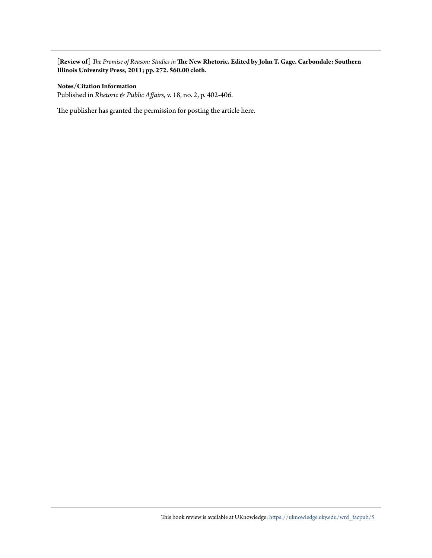**[Review of]** *The Promise of Reason: Studies in* **The New Rhetoric. Edited by John T. Gage. Carbondale: Southern Illinois University Press, 2011; pp. 272. \$60.00 cloth.**

## **Notes/Citation Information**

Published in *Rhetoric & Public Affairs*, v. 18, no. 2, p. 402-406.

The publisher has granted the permission for posting the article here.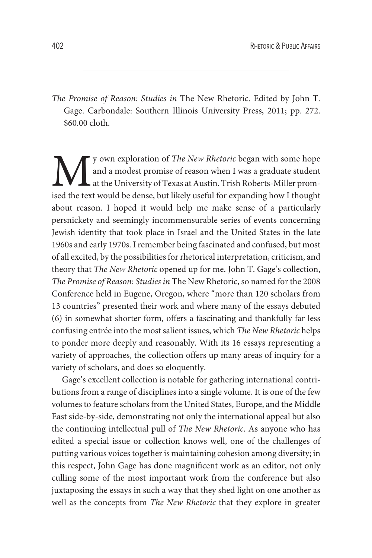*The Promise of Reason: Studies in* The New Rhetoric. Edited by John T. Gage. Carbondale: Southern Illinois University Press, 2011; pp. 272. \$60.00 cloth.

We we apploration of *The New Rhetoric* began with some hope<br>and a modest promise of reason when I was a graduate student<br>at the University of Texas at Austin. Trish Roberts-Miller prom-<br>ised the text would be dense, but l and a modest promise of reason when I was a graduate student at the University of Texas at Austin. Trish Roberts-Miller promised the text would be dense, but likely useful for expanding how I thought about reason. I hoped it would help me make sense of a particularly persnickety and seemingly incommensurable series of events concerning Jewish identity that took place in Israel and the United States in the late 1960s and early 1970s. I remember being fascinated and confused, but most of all excited, by the possibilities for rhetorical interpretation, criticism, and theory that *The New Rhetoric* opened up for me. John T. Gage's collection, *The Promise of Reason: Studies in* The New Rhetoric, so named for the 2008 Conference held in Eugene, Oregon, where "more than 120 scholars from 13 countries" presented their work and where many of the essays debuted (6) in somewhat shorter form, offers a fascinating and thankfully far less confusing entrée into the most salient issues, which *The New Rhetoric* helps to ponder more deeply and reasonably. With its 16 essays representing a variety of approaches, the collection offers up many areas of inquiry for a variety of scholars, and does so eloquently.

Gage's excellent collection is notable for gathering international contributions from a range of disciplines into a single volume. It is one of the few volumes to feature scholars from the United States, Europe, and the Middle East side-by-side, demonstrating not only the international appeal but also the continuing intellectual pull of *The New Rhetoric*. As anyone who has edited a special issue or collection knows well, one of the challenges of putting various voices together is maintaining cohesion among diversity; in this respect, John Gage has done magnifıcent work as an editor, not only culling some of the most important work from the conference but also juxtaposing the essays in such a way that they shed light on one another as well as the concepts from *The New Rhetoric* that they explore in greater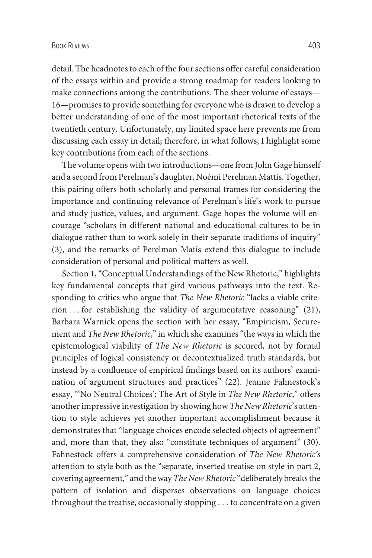detail. The headnotes to each of the four sections offer careful consideration of the essays within and provide a strong roadmap for readers looking to make connections among the contributions. The sheer volume of essays— 16—promises to provide something for everyone who is drawn to develop a better understanding of one of the most important rhetorical texts of the twentieth century. Unfortunately, my limited space here prevents me from discussing each essay in detail; therefore, in what follows, I highlight some key contributions from each of the sections.

The volume opens with two introductions—one from John Gage himself and a second from Perelman's daughter, Noémi Perelman Mattis. Together, this pairing offers both scholarly and personal frames for considering the importance and continuing relevance of Perelman's life's work to pursue and study justice, values, and argument. Gage hopes the volume will encourage "scholars in different national and educational cultures to be in dialogue rather than to work solely in their separate traditions of inquiry" (3), and the remarks of Perelman Matis extend this dialogue to include consideration of personal and political matters as well.

Section 1, "Conceptual Understandings of the New Rhetoric," highlights key fundamental concepts that gird various pathways into the text. Responding to critics who argue that *The New Rhetoric* "lacks a viable criterion . . . for establishing the validity of argumentative reasoning" (21), Barbara Warnick opens the section with her essay, "Empiricism, Securement and *The New Rhetoric*," in which she examines "the ways in which the epistemological viability of *The New Rhetoric* is secured, not by formal principles of logical consistency or decontextualized truth standards, but instead by a confluence of empirical fındings based on its authors' examination of argument structures and practices" (22). Jeanne Fahnestock's essay, "'No Neutral Choices': The Art of Style in *The New Rhetoric*," offers another impressive investigation by showing how*The New Rhetoric*'s attention to style achieves yet another important accomplishment because it demonstrates that "language choices encode selected objects of agreement" and, more than that, they also "constitute techniques of argument" (30). Fahnestock offers a comprehensive consideration of *The New Rhetoric's* attention to style both as the "separate, inserted treatise on style in part 2, covering agreement," and the way *The New Rhetoric*"deliberately breaks the pattern of isolation and disperses observations on language choices throughout the treatise, occasionally stopping . . . to concentrate on a given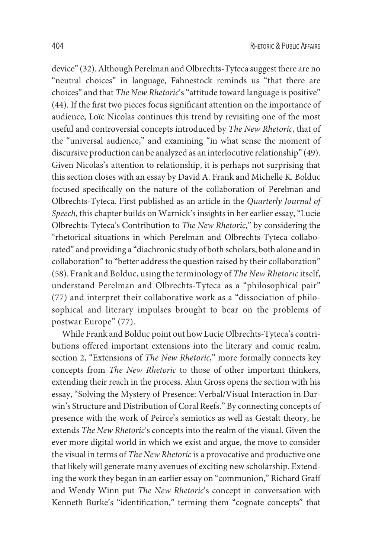device" (32). Although Perelman and Olbrechts-Tyteca suggest there are no "neutral choices" in language, Fahnestock reminds us "that there are choices" and that *The New Rhetoric*'s "attitude toward language is positive" (44). If the fırst two pieces focus signifıcant attention on the importance of audience, Loïc Nicolas continues this trend by revisiting one of the most useful and controversial concepts introduced by *The New Rhetoric*, that of the "universal audience," and examining "in what sense the moment of discursive production can be analyzed as an interlocutive relationship" (49). Given Nicolas's attention to relationship, it is perhaps not surprising that this section closes with an essay by David A. Frank and Michelle K. Bolduc focused specifıcally on the nature of the collaboration of Perelman and Olbrechts-Tyteca. First published as an article in the *Quarterly Journal of Speech*, this chapter builds on Warnick's insights in her earlier essay, "Lucie Olbrechts-Tyteca's Contribution to *The New Rhetoric*," by considering the "rhetorical situations in which Perelman and Olbrechts-Tyteca collaborated" and providing a "diachronic study of both scholars, both alone and in collaboration" to "better address the question raised by their collaboration" (58). Frank and Bolduc, using the terminology of *The New Rhetoric*itself, understand Perelman and Olbrechts-Tyteca as a "philosophical pair" (77) and interpret their collaborative work as a "dissociation of philosophical and literary impulses brought to bear on the problems of postwar Europe" (77).

While Frank and Bolduc point out how Lucie Olbrechts-Tyteca's contributions offered important extensions into the literary and comic realm, section 2, "Extensions of *The New Rhetoric*," more formally connects key concepts from *The New Rhetoric* to those of other important thinkers, extending their reach in the process. Alan Gross opens the section with his essay, "Solving the Mystery of Presence: Verbal/Visual Interaction in Darwin's Structure and Distribution of Coral Reefs." By connecting concepts of presence with the work of Peirce's semiotics as well as Gestalt theory, he extends *The New Rhetoric*'s concepts into the realm of the visual. Given the ever more digital world in which we exist and argue, the move to consider the visual in terms of *The New Rhetoric* is a provocative and productive one that likely will generate many avenues of exciting new scholarship. Extending the work they began in an earlier essay on "communion," Richard Graff and Wendy Winn put *The New Rhetoric*'s concept in conversation with Kenneth Burke's "identifıcation," terming them "cognate concepts" that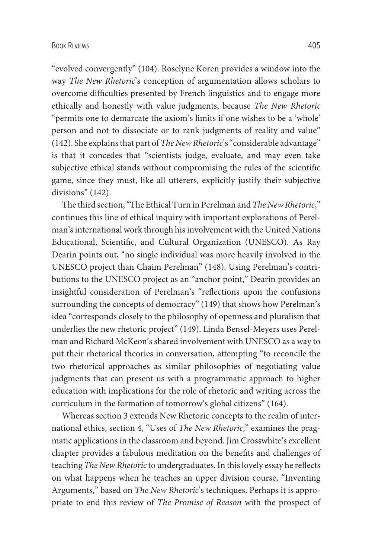"evolved convergently" (104). Roselyne Koren provides a window into the way *The New Rhetoric*'s conception of argumentation allows scholars to overcome diffıculties presented by French linguistics and to engage more ethically and honestly with value judgments, because *The New Rhetoric* "permits one to demarcate the axiom's limits if one wishes to be a 'whole' person and not to dissociate or to rank judgments of reality and value" (142). She explains that part of *The New Rhetoric*'s "considerable advantage" is that it concedes that "scientists judge, evaluate, and may even take subjective ethical stands without compromising the rules of the scientifıc game, since they must, like all utterers, explicitly justify their subjective divisions" (142).

The third section, "The Ethical Turn in Perelman and *The New Rhetoric*," continues this line of ethical inquiry with important explorations of Perelman's international work through his involvement with the United Nations Educational, Scientifıc, and Cultural Organization (UNESCO). As Ray Dearin points out, "no single individual was more heavily involved in the UNESCO project than Chaim Perelman" (148). Using Perelman's contributions to the UNESCO project as an "anchor point," Dearin provides an insightful consideration of Perelman's "reflections upon the confusions surrounding the concepts of democracy" (149) that shows how Perelman's idea "corresponds closely to the philosophy of openness and pluralism that underlies the new rhetoric project" (149). Linda Bensel-Meyers uses Perelman and Richard McKeon's shared involvement with UNESCO as a way to put their rhetorical theories in conversation, attempting "to reconcile the two rhetorical approaches as similar philosophies of negotiating value judgments that can present us with a programmatic approach to higher education with implications for the role of rhetoric and writing across the curriculum in the formation of tomorrow's global citizens" (164).

Whereas section 3 extends New Rhetoric concepts to the realm of international ethics, section 4, "Uses of *The New Rhetoric*," examines the pragmatic applications in the classroom and beyond. Jim Crosswhite's excellent chapter provides a fabulous meditation on the benefıts and challenges of teaching *The New Rhetoric*to undergraduates. In this lovely essay he reflects on what happens when he teaches an upper division course, "Inventing Arguments," based on *The New Rhetoric*'s techniques. Perhaps it is appropriate to end this review of *The Promise of Reason* with the prospect of